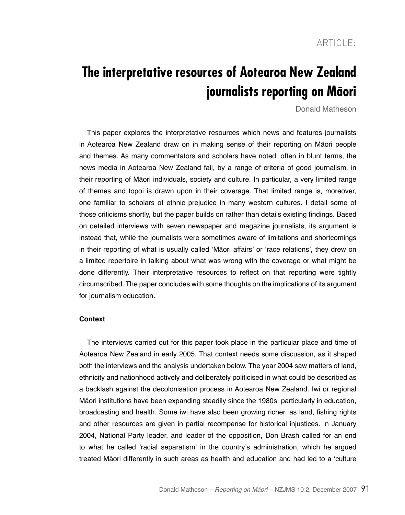# **The interpretative resources of Aotearoa New Zealand journalists reporting on Maori**

Donald Matheson

This paper explores the interpretative resources which news and features journalists in Aotearoa New Zealand draw on in making sense of their reporting on Māori people and themes. As many commentators and scholars have noted, often in blunt terms, the news media in Aotearoa New Zealand fail, by a range of criteria of good journalism, in their reporting of Māori individuals, society and culture. In particular, a very limited range of themes and topoi is drawn upon in their coverage. That limited range is, moreover, one familiar to scholars of ethnic prejudice in many western cultures. I detail some of those criticisms shortly, but the paper builds on rather than details existing findings. Based on detailed interviews with seven newspaper and magazine journalists, its argument is instead that, while the journalists were sometimes aware of limitations and shortcomings in their reporting of what is usually called 'Māori affairs' or 'race relations', they drew on a limited repertoire in talking about what was wrong with the coverage or what might be done differently. Their interpretative resources to reflect on that reporting were tightly circumscribed. The paper concludes with some thoughts on the implications of its argument for journalism education.

# **Context**

The interviews carried out for this paper took place in the particular place and time of Aotearoa New Zealand in early 2005. That context needs some discussion, as it shaped both the interviews and the analysis undertaken below. The year 2004 saw matters of land, ethnicity and nationhood actively and deliberately politicised in what could be described as a backlash against the decolonisation process in Aotearoa New Zealand. Iwi or regional Māori institutions have been expanding steadily since the 1980s, particularly in education, broadcasting and health. Some iwi have also been growing richer, as land, fishing rights and other resources are given in partial recompense for historical injustices. In January 2004, National Party leader, and leader of the opposition, Don Brash called for an end to what he called 'racial separatism' in the country's administration, which he argued treated Māori differently in such areas as health and education and had led to a 'culture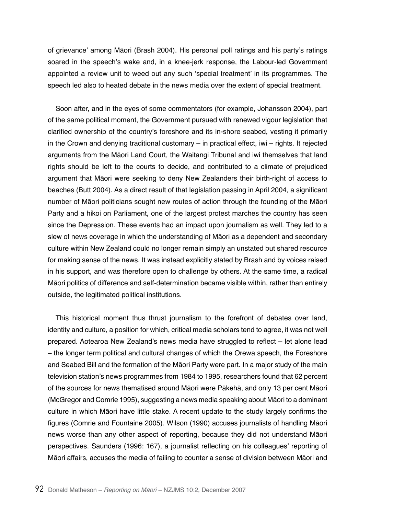of grievance' among Māori (Brash 2004). His personal poll ratings and his party's ratings soared in the speech's wake and, in a knee-jerk response, the Labour-led Government appointed a review unit to weed out any such 'special treatment' in its programmes. The speech led also to heated debate in the news media over the extent of special treatment.

Soon after, and in the eyes of some commentators (for example, Johansson 2004), part of the same political moment, the Government pursued with renewed vigour legislation that clarified ownership of the country's foreshore and its in-shore seabed, vesting it primarily in the Crown and denying traditional customary – in practical effect, iwi – rights. It rejected arguments from the Māori Land Court, the Waitangi Tribunal and iwi themselves that land rights should be left to the courts to decide, and contributed to a climate of prejudiced argument that Māori were seeking to deny New Zealanders their birth-right of access to beaches (Butt 2004). As a direct result of that legislation passing in April 2004, a significant number of Māori politicians sought new routes of action through the founding of the Māori Party and a hikoi on Parliament, one of the largest protest marches the country has seen since the Depression. These events had an impact upon journalism as well. They led to a slew of news coverage in which the understanding of Māori as a dependent and secondary culture within New Zealand could no longer remain simply an unstated but shared resource for making sense of the news. It was instead explicitly stated by Brash and by voices raised in his support, and was therefore open to challenge by others. At the same time, a radical Māori politics of difference and self-determination became visible within, rather than entirely outside, the legitimated political institutions.

This historical moment thus thrust journalism to the forefront of debates over land, identity and culture, a position for which, critical media scholars tend to agree, it was not well prepared. Aotearoa New Zealand's news media have struggled to reflect – let alone lead – the longer term political and cultural changes of which the Orewa speech, the Foreshore and Seabed Bill and the formation of the Māori Party were part. In a major study of the main television station's news programmes from 1984 to 1995, researchers found that 62 percent of the sources for news thematised around Māori were Pākehā, and only 13 per cent Māori (McGregor and Comrie 1995), suggesting a news media speaking about Māori to a dominant culture in which Māori have little stake. A recent update to the study largely confirms the figures (Comrie and Fountaine 2005). Wilson (1990) accuses journalists of handling Māori news worse than any other aspect of reporting, because they did not understand Māori perspectives. Saunders (1996: 167), a journalist reflecting on his colleagues' reporting of Māori affairs, accuses the media of failing to counter a sense of division between Māori and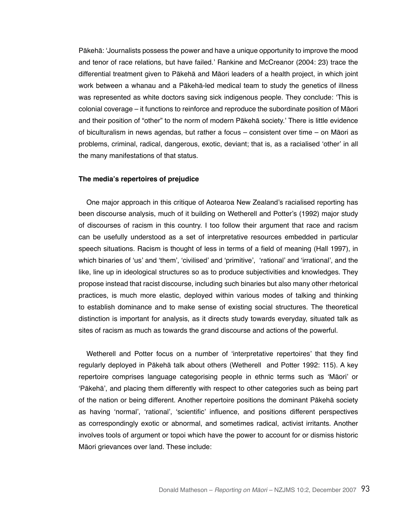Pākehā: 'Journalists possess the power and have a unique opportunity to improve the mood and tenor of race relations, but have failed.' Rankine and McCreanor (2004: 23) trace the differential treatment given to Pākehā and Māori leaders of a health project, in which joint work between a whanau and a Pākehā-led medical team to study the genetics of illness was represented as white doctors saving sick indigenous people. They conclude: 'This is colonial coverage – it functions to reinforce and reproduce the subordinate position of Māori and their position of "other" to the norm of modern Pākehā society.' There is little evidence of biculturalism in news agendas, but rather a focus – consistent over time – on Māori as problems, criminal, radical, dangerous, exotic, deviant; that is, as a racialised 'other' in all the many manifestations of that status.

#### **The media's repertoires of prejudice**

One major approach in this critique of Aotearoa New Zealand's racialised reporting has been discourse analysis, much of it building on Wetherell and Potter's (1992) major study of discourses of racism in this country. I too follow their argument that race and racism can be usefully understood as a set of interpretative resources embedded in particular speech situations. Racism is thought of less in terms of a field of meaning (Hall 1997), in which binaries of 'us' and 'them', 'civilised' and 'primitive', 'rational' and 'irrational', and the like, line up in ideological structures so as to produce subjectivities and knowledges. They propose instead that racist discourse, including such binaries but also many other rhetorical practices, is much more elastic, deployed within various modes of talking and thinking to establish dominance and to make sense of existing social structures. The theoretical distinction is important for analysis, as it directs study towards everyday, situated talk as sites of racism as much as towards the grand discourse and actions of the powerful.

Wetherell and Potter focus on a number of 'interpretative repertoires' that they find regularly deployed in Pākehā talk about others (Wetherell and Potter 1992: 115). A key repertoire comprises language categorising people in ethnic terms such as 'Māori' or 'Pākehā', and placing them differently with respect to other categories such as being part of the nation or being different. Another repertoire positions the dominant Pākehā society as having 'normal', 'rational', 'scientific' influence, and positions different perspectives as correspondingly exotic or abnormal, and sometimes radical, activist irritants. Another involves tools of argument or topoi which have the power to account for or dismiss historic Māori grievances over land. These include: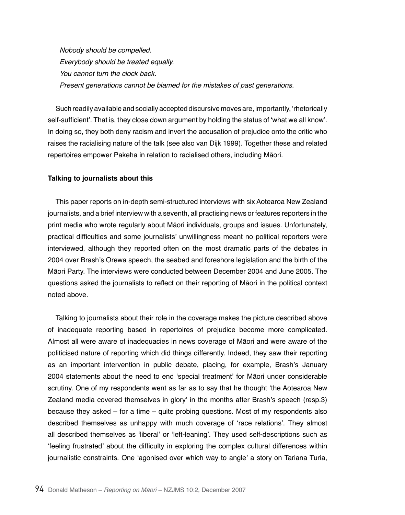Nobody should be compelled. Everybody should be treated equally. You cannot turn the clock back. Present generations cannot be blamed for the mistakes of past generations.

Such readily available and socially accepted discursive moves are, importantly, 'rhetorically self-sufficient'. That is, they close down argument by holding the status of 'what we all know'. In doing so, they both deny racism and invert the accusation of prejudice onto the critic who raises the racialising nature of the talk (see also van Dijk 1999). Together these and related repertoires empower Pakeha in relation to racialised others, including Māori.

## **Talking to journalists about this**

This paper reports on in-depth semi-structured interviews with six Aotearoa New Zealand journalists, and a brief interview with a seventh, all practising news or features reporters in the print media who wrote regularly about Māori individuals, groups and issues. Unfortunately, practical difficulties and some journalists' unwillingness meant no political reporters were interviewed, although they reported often on the most dramatic parts of the debates in 2004 over Brash's Orewa speech, the seabed and foreshore legislation and the birth of the Māori Party. The interviews were conducted between December 2004 and June 2005. The questions asked the journalists to reflect on their reporting of Māori in the political context noted above.

Talking to journalists about their role in the coverage makes the picture described above of inadequate reporting based in repertoires of prejudice become more complicated. Almost all were aware of inadequacies in news coverage of Māori and were aware of the politicised nature of reporting which did things differently. Indeed, they saw their reporting as an important intervention in public debate, placing, for example, Brash's January 2004 statements about the need to end 'special treatment' for Māori under considerable scrutiny. One of my respondents went as far as to say that he thought 'the Aotearoa New Zealand media covered themselves in glory' in the months after Brash's speech (resp.3) because they asked – for a time – quite probing questions. Most of my respondents also described themselves as unhappy with much coverage of 'race relations'. They almost all described themselves as 'liberal' or 'left-leaning'. They used self-descriptions such as 'feeling frustrated' about the difficulty in exploring the complex cultural differences within journalistic constraints. One 'agonised over which way to angle' a story on Tariana Turia,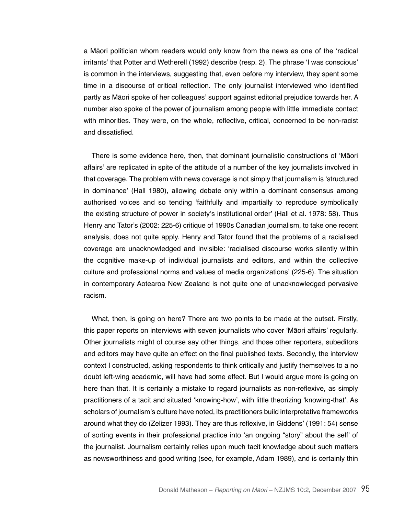a Māori politician whom readers would only know from the news as one of the 'radical irritants' that Potter and Wetherell (1992) describe (resp. 2). The phrase 'I was conscious' is common in the interviews, suggesting that, even before my interview, they spent some time in a discourse of critical reflection. The only journalist interviewed who identified partly as Māori spoke of her colleagues' support against editorial prejudice towards her. A number also spoke of the power of journalism among people with little immediate contact with minorities. They were, on the whole, reflective, critical, concerned to be non-racist and dissatisfied.

There is some evidence here, then, that dominant journalistic constructions of 'Māori affairs' are replicated in spite of the attitude of a number of the key journalists involved in that coverage. The problem with news coverage is not simply that journalism is 'structured in dominance' (Hall 1980), allowing debate only within a dominant consensus among authorised voices and so tending 'faithfully and impartially to reproduce symbolically the existing structure of power in society's institutional order' (Hall et al. 1978: 58). Thus Henry and Tator's (2002: 225-6) critique of 1990s Canadian journalism, to take one recent analysis, does not quite apply. Henry and Tator found that the problems of a racialised coverage are unacknowledged and invisible: 'racialised discourse works silently within the cognitive make-up of individual journalists and editors, and within the collective culture and professional norms and values of media organizations' (225-6). The situation in contemporary Aotearoa New Zealand is not quite one of unacknowledged pervasive racism.

What, then, is going on here? There are two points to be made at the outset. Firstly, this paper reports on interviews with seven journalists who cover 'Māori affairs' regularly. Other journalists might of course say other things, and those other reporters, subeditors and editors may have quite an effect on the final published texts. Secondly, the interview context I constructed, asking respondents to think critically and justify themselves to a no doubt left-wing academic, will have had some effect. But I would argue more is going on here than that. It is certainly a mistake to regard journalists as non-reflexive, as simply practitioners of a tacit and situated 'knowing-how', with little theorizing 'knowing-that'. As scholars of journalism's culture have noted, its practitioners build interpretative frameworks around what they do (Zelizer 1993). They are thus reflexive, in Giddens' (1991: 54) sense of sorting events in their professional practice into 'an ongoing "story" about the self' of the journalist. Journalism certainly relies upon much tacit knowledge about such matters as newsworthiness and good writing (see, for example, Adam 1989), and is certainly thin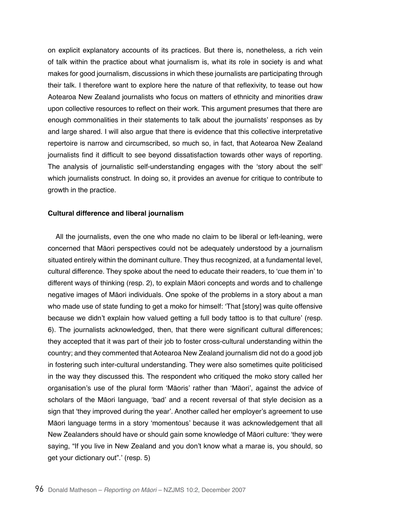on explicit explanatory accounts of its practices. But there is, nonetheless, a rich vein of talk within the practice about what journalism is, what its role in society is and what makes for good journalism, discussions in which these journalists are participating through their talk. I therefore want to explore here the nature of that reflexivity, to tease out how Aotearoa New Zealand journalists who focus on matters of ethnicity and minorities draw upon collective resources to reflect on their work. This argument presumes that there are enough commonalities in their statements to talk about the journalists' responses as by and large shared. I will also argue that there is evidence that this collective interpretative repertoire is narrow and circumscribed, so much so, in fact, that Aotearoa New Zealand journalists find it difficult to see beyond dissatisfaction towards other ways of reporting. The analysis of journalistic self-understanding engages with the 'story about the self' which journalists construct. In doing so, it provides an avenue for critique to contribute to growth in the practice.

#### **Cultural difference and liberal journalism**

All the journalists, even the one who made no claim to be liberal or left-leaning, were concerned that Māori perspectives could not be adequately understood by a journalism situated entirely within the dominant culture. They thus recognized, at a fundamental level, cultural difference. They spoke about the need to educate their readers, to 'cue them in' to different ways of thinking (resp. 2), to explain Māori concepts and words and to challenge negative images of Māori individuals. One spoke of the problems in a story about a man who made use of state funding to get a moko for himself: 'That [story] was quite offensive because we didn't explain how valued getting a full body tattoo is to that culture' (resp. 6). The journalists acknowledged, then, that there were significant cultural differences; they accepted that it was part of their job to foster cross-cultural understanding within the country; and they commented that Aotearoa New Zealand journalism did not do a good job in fostering such inter-cultural understanding. They were also sometimes quite politicised in the way they discussed this. The respondent who critiqued the moko story called her organisation's use of the plural form 'Māoris' rather than 'Māori', against the advice of scholars of the Māori language, 'bad' and a recent reversal of that style decision as a sign that 'they improved during the year'. Another called her employer's agreement to use Māori language terms in a story 'momentous' because it was acknowledgement that all New Zealanders should have or should gain some knowledge of Māori culture: 'they were saying, "If you live in New Zealand and you don't know what a marae is, you should, so get your dictionary out".' (resp. 5)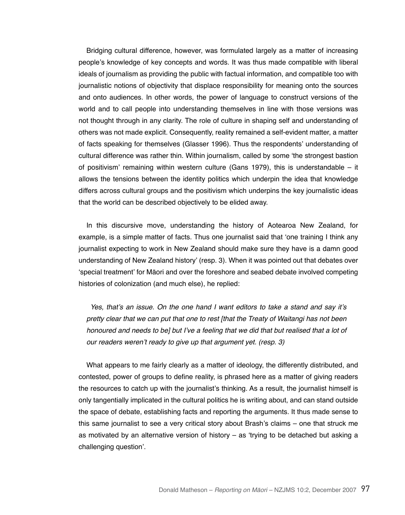Bridging cultural difference, however, was formulated largely as a matter of increasing people's knowledge of key concepts and words. It was thus made compatible with liberal ideals of journalism as providing the public with factual information, and compatible too with journalistic notions of objectivity that displace responsibility for meaning onto the sources and onto audiences. In other words, the power of language to construct versions of the world and to call people into understanding themselves in line with those versions was not thought through in any clarity. The role of culture in shaping self and understanding of others was not made explicit. Consequently, reality remained a self-evident matter, a matter of facts speaking for themselves (Glasser 1996). Thus the respondents' understanding of cultural difference was rather thin. Within journalism, called by some 'the strongest bastion of positivism' remaining within western culture (Gans 1979), this is understandable  $-$  it allows the tensions between the identity politics which underpin the idea that knowledge differs across cultural groups and the positivism which underpins the key journalistic ideas that the world can be described objectively to be elided away.

In this discursive move, understanding the history of Aotearoa New Zealand, for example, is a simple matter of facts. Thus one journalist said that 'one training I think any journalist expecting to work in New Zealand should make sure they have is a damn good understanding of New Zealand history' (resp. 3). When it was pointed out that debates over 'special treatment' for Māori and over the foreshore and seabed debate involved competing histories of colonization (and much else), he replied:

Yes, that's an issue. On the one hand I want editors to take a stand and say it's pretty clear that we can put that one to rest [that the Treaty of Waitangi has not been honoured and needs to be] but I've a feeling that we did that but realised that a lot of our readers weren't ready to give up that argument yet. (resp. 3)

What appears to me fairly clearly as a matter of ideology, the differently distributed, and contested, power of groups to define reality, is phrased here as a matter of giving readers the resources to catch up with the journalist's thinking. As a result, the journalist himself is only tangentially implicated in the cultural politics he is writing about, and can stand outside the space of debate, establishing facts and reporting the arguments. It thus made sense to this same journalist to see a very critical story about Brash's claims – one that struck me as motivated by an alternative version of history – as 'trying to be detached but asking a challenging question'.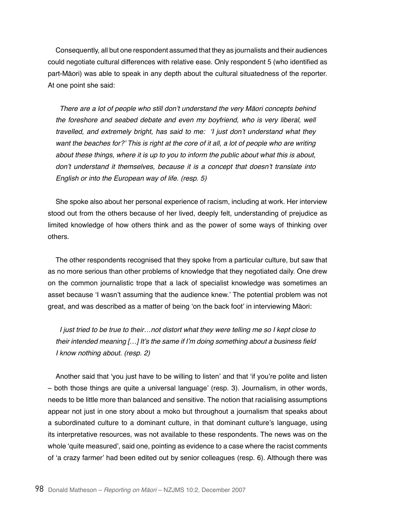Consequently, all but one respondent assumed that they as journalists and their audiences could negotiate cultural differences with relative ease. Only respondent 5 (who identified as part-Māori) was able to speak in any depth about the cultural situatedness of the reporter. At one point she said:

There are a lot of people who still don't understand the very Māori concepts behind the foreshore and seabed debate and even my boyfriend, who is very liberal, well travelled, and extremely bright, has said to me: 'I just don't understand what they want the beaches for?' This is right at the core of it all, a lot of people who are writing about these things, where it is up to you to inform the public about what this is about, don't understand it themselves, because it is a concept that doesn't translate into English or into the European way of life. (resp. 5)

She spoke also about her personal experience of racism, including at work. Her interview stood out from the others because of her lived, deeply felt, understanding of prejudice as limited knowledge of how others think and as the power of some ways of thinking over others.

The other respondents recognised that they spoke from a particular culture, but saw that as no more serious than other problems of knowledge that they negotiated daily. One drew on the common journalistic trope that a lack of specialist knowledge was sometimes an asset because 'I wasn't assuming that the audience knew.' The potential problem was not great, and was described as a matter of being 'on the back foot' in interviewing Māori:

I just tried to be true to their…not distort what they were telling me so I kept close to their intended meaning […] It's the same if I'm doing something about a business field I know nothing about. (resp. 2)

Another said that 'you just have to be willing to listen' and that 'if you're polite and listen – both those things are quite a universal language' (resp. 3). Journalism, in other words, needs to be little more than balanced and sensitive. The notion that racialising assumptions appear not just in one story about a moko but throughout a journalism that speaks about a subordinated culture to a dominant culture, in that dominant culture's language, using its interpretative resources, was not available to these respondents. The news was on the whole 'quite measured', said one, pointing as evidence to a case where the racist comments of 'a crazy farmer' had been edited out by senior colleagues (resp. 6). Although there was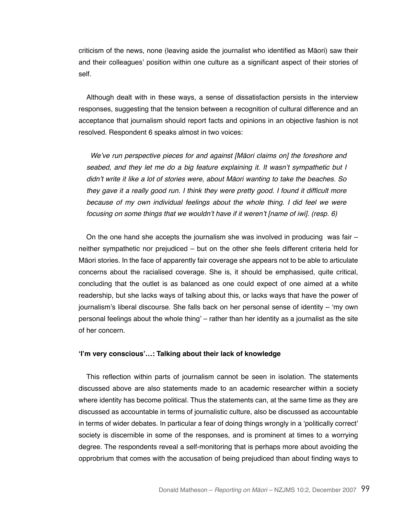criticism of the news, none (leaving aside the journalist who identified as Māori) saw their and their colleagues' position within one culture as a significant aspect of their stories of self.

Although dealt with in these ways, a sense of dissatisfaction persists in the interview responses, suggesting that the tension between a recognition of cultural difference and an acceptance that journalism should report facts and opinions in an objective fashion is not resolved. Respondent 6 speaks almost in two voices:

We've run perspective pieces for and against [Māori claims on] the foreshore and seabed, and they let me do a big feature explaining it. It wasn't sympathetic but I didn't write it like a lot of stories were, about Māori wanting to take the beaches. So they gave it a really good run. I think they were pretty good. I found it difficult more because of my own individual feelings about the whole thing. I did feel we were focusing on some things that we wouldn't have if it weren't [name of iwi]. (resp. 6)

On the one hand she accepts the journalism she was involved in producing was fair – neither sympathetic nor prejudiced – but on the other she feels different criteria held for Māori stories. In the face of apparently fair coverage she appears not to be able to articulate concerns about the racialised coverage. She is, it should be emphasised, quite critical, concluding that the outlet is as balanced as one could expect of one aimed at a white readership, but she lacks ways of talking about this, or lacks ways that have the power of journalism's liberal discourse. She falls back on her personal sense of identity – 'my own personal feelings about the whole thing' – rather than her identity as a journalist as the site of her concern.

#### **'I'm very conscious'…: Talking about their lack of knowledge**

This reflection within parts of journalism cannot be seen in isolation. The statements discussed above are also statements made to an academic researcher within a society where identity has become political. Thus the statements can, at the same time as they are discussed as accountable in terms of journalistic culture, also be discussed as accountable in terms of wider debates. In particular a fear of doing things wrongly in a 'politically correct' society is discernible in some of the responses, and is prominent at times to a worrying degree. The respondents reveal a self-monitoring that is perhaps more about avoiding the opprobrium that comes with the accusation of being prejudiced than about finding ways to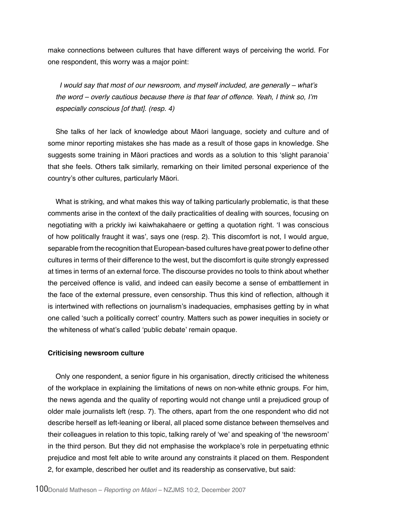make connections between cultures that have different ways of perceiving the world. For one respondent, this worry was a major point:

I would say that most of our newsroom, and myself included, are generally – what's the word – overly cautious because there is that fear of offence. Yeah, I think so, I'm especially conscious [of that]. (resp. 4)

She talks of her lack of knowledge about Māori language, society and culture and of some minor reporting mistakes she has made as a result of those gaps in knowledge. She suggests some training in Māori practices and words as a solution to this 'slight paranoia' that she feels. Others talk similarly, remarking on their limited personal experience of the country's other cultures, particularly Māori.

What is striking, and what makes this way of talking particularly problematic, is that these comments arise in the context of the daily practicalities of dealing with sources, focusing on negotiating with a prickly iwi kaiwhakahaere or getting a quotation right. 'I was conscious of how politically fraught it was', says one (resp. 2). This discomfort is not, I would argue, separable from the recognition that European-based cultures have great power to define other cultures in terms of their difference to the west, but the discomfort is quite strongly expressed at times in terms of an external force. The discourse provides no tools to think about whether the perceived offence is valid, and indeed can easily become a sense of embattlement in the face of the external pressure, even censorship. Thus this kind of reflection, although it is intertwined with reflections on journalism's inadequacies, emphasises getting by in what one called 'such a politically correct' country. Matters such as power inequities in society or the whiteness of what's called 'public debate' remain opaque.

## **Criticising newsroom culture**

Only one respondent, a senior figure in his organisation, directly criticised the whiteness of the workplace in explaining the limitations of news on non-white ethnic groups. For him, the news agenda and the quality of reporting would not change until a prejudiced group of older male journalists left (resp. 7). The others, apart from the one respondent who did not describe herself as left-leaning or liberal, all placed some distance between themselves and their colleagues in relation to this topic, talking rarely of 'we' and speaking of 'the newsroom' in the third person. But they did not emphasise the workplace's role in perpetuating ethnic prejudice and most felt able to write around any constraints it placed on them. Respondent 2, for example, described her outlet and its readership as conservative, but said: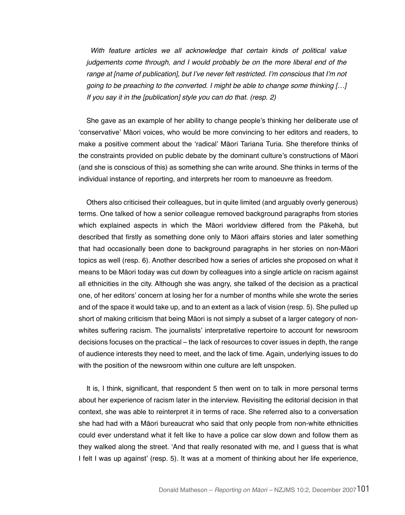With feature articles we all acknowledge that certain kinds of political value judgements come through, and I would probably be on the more liberal end of the range at [name of publication], but I've never felt restricted. I'm conscious that I'm not going to be preaching to the converted. I might be able to change some thinking […] If you say it in the [publication] style you can do that. (resp. 2)

She gave as an example of her ability to change people's thinking her deliberate use of 'conservative' Māori voices, who would be more convincing to her editors and readers, to make a positive comment about the 'radical' Māori Tariana Turia. She therefore thinks of the constraints provided on public debate by the dominant culture's constructions of Māori (and she is conscious of this) as something she can write around. She thinks in terms of the individual instance of reporting, and interprets her room to manoeuvre as freedom.

Others also criticised their colleagues, but in quite limited (and arguably overly generous) terms. One talked of how a senior colleague removed background paragraphs from stories which explained aspects in which the Māori worldview differed from the Pākehā, but described that firstly as something done only to Māori affairs stories and later something that had occasionally been done to background paragraphs in her stories on non-Māori topics as well (resp. 6). Another described how a series of articles she proposed on what it means to be Māori today was cut down by colleagues into a single article on racism against all ethnicities in the city. Although she was angry, she talked of the decision as a practical one, of her editors' concern at losing her for a number of months while she wrote the series and of the space it would take up, and to an extent as a lack of vision (resp. 5). She pulled up short of making criticism that being Māori is not simply a subset of a larger category of nonwhites suffering racism. The journalists' interpretative repertoire to account for newsroom decisions focuses on the practical – the lack of resources to cover issues in depth, the range of audience interests they need to meet, and the lack of time. Again, underlying issues to do with the position of the newsroom within one culture are left unspoken.

It is, I think, significant, that respondent 5 then went on to talk in more personal terms about her experience of racism later in the interview. Revisiting the editorial decision in that context, she was able to reinterpret it in terms of race. She referred also to a conversation she had had with a Māori bureaucrat who said that only people from non-white ethnicities could ever understand what it felt like to have a police car slow down and follow them as they walked along the street. 'And that really resonated with me, and I guess that is what I felt I was up against' (resp. 5). It was at a moment of thinking about her life experience,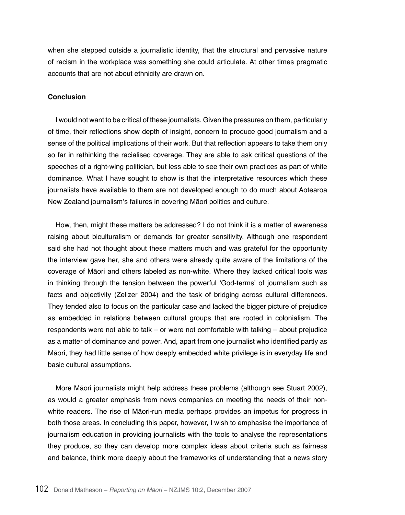when she stepped outside a journalistic identity, that the structural and pervasive nature of racism in the workplace was something she could articulate. At other times pragmatic accounts that are not about ethnicity are drawn on.

# **Conclusion**

I would not want to be critical of these journalists. Given the pressures on them, particularly of time, their reflections show depth of insight, concern to produce good journalism and a sense of the political implications of their work. But that reflection appears to take them only so far in rethinking the racialised coverage. They are able to ask critical questions of the speeches of a right-wing politician, but less able to see their own practices as part of white dominance. What I have sought to show is that the interpretative resources which these journalists have available to them are not developed enough to do much about Aotearoa New Zealand journalism's failures in covering Māori politics and culture.

How, then, might these matters be addressed? I do not think it is a matter of awareness raising about biculturalism or demands for greater sensitivity. Although one respondent said she had not thought about these matters much and was grateful for the opportunity the interview gave her, she and others were already quite aware of the limitations of the coverage of Māori and others labeled as non-white. Where they lacked critical tools was in thinking through the tension between the powerful 'God-terms' of journalism such as facts and objectivity (Zelizer 2004) and the task of bridging across cultural differences. They tended also to focus on the particular case and lacked the bigger picture of prejudice as embedded in relations between cultural groups that are rooted in colonialism. The respondents were not able to talk – or were not comfortable with talking – about prejudice as a matter of dominance and power. And, apart from one journalist who identified partly as Māori, they had little sense of how deeply embedded white privilege is in everyday life and basic cultural assumptions.

More Māori journalists might help address these problems (although see Stuart 2002), as would a greater emphasis from news companies on meeting the needs of their nonwhite readers. The rise of Māori-run media perhaps provides an impetus for progress in both those areas. In concluding this paper, however, I wish to emphasise the importance of journalism education in providing journalists with the tools to analyse the representations they produce, so they can develop more complex ideas about criteria such as fairness and balance, think more deeply about the frameworks of understanding that a news story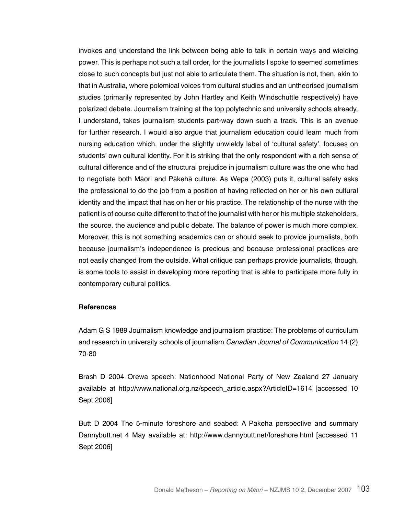invokes and understand the link between being able to talk in certain ways and wielding power. This is perhaps not such a tall order, for the journalists I spoke to seemed sometimes close to such concepts but just not able to articulate them. The situation is not, then, akin to that in Australia, where polemical voices from cultural studies and an untheorised journalism studies (primarily represented by John Hartley and Keith Windschuttle respectively) have polarized debate. Journalism training at the top polytechnic and university schools already, I understand, takes journalism students part-way down such a track. This is an avenue for further research. I would also argue that journalism education could learn much from nursing education which, under the slightly unwieldy label of 'cultural safety', focuses on students' own cultural identity. For it is striking that the only respondent with a rich sense of cultural difference and of the structural prejudice in journalism culture was the one who had to negotiate both Māori and Pākehā culture. As Wepa (2003) puts it, cultural safety asks the professional to do the job from a position of having reflected on her or his own cultural identity and the impact that has on her or his practice. The relationship of the nurse with the patient is of course quite different to that of the journalist with her or his multiple stakeholders, the source, the audience and public debate. The balance of power is much more complex. Moreover, this is not something academics can or should seek to provide journalists, both because journalism's independence is precious and because professional practices are not easily changed from the outside. What critique can perhaps provide journalists, though, is some tools to assist in developing more reporting that is able to participate more fully in contemporary cultural politics.

## **References**

Adam G S 1989 Journalism knowledge and journalism practice: The problems of curriculum and research in university schools of journalism *Canadian Journal of Communication* 14 (2) 70-80

Brash D 2004 Orewa speech: Nationhood National Party of New Zealand 27 January available at http://www.national.org.nz/speech\_article.aspx?ArticleID=1614 [accessed 10 Sept 2006]

Butt D 2004 The 5-minute foreshore and seabed: A Pakeha perspective and summary Dannybutt.net 4 May available at: http://www.dannybutt.net/foreshore.html [accessed 11 Sept 2006]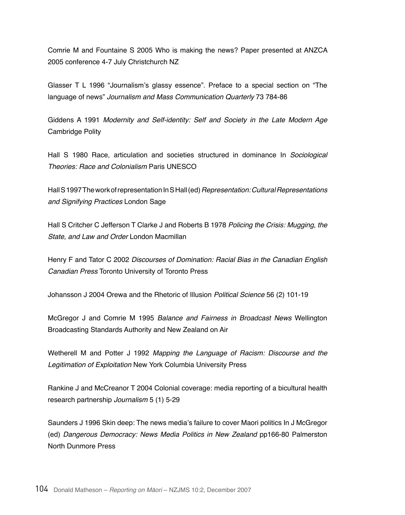Comrie M and Fountaine S 2005 Who is making the news? Paper presented at ANZCA 2005 conference 4-7 July Christchurch NZ

Glasser T L 1996 "Journalism's glassy essence". Preface to a special section on "The language of news" Journalism and Mass Communication Quarterly 73 784-86

Giddens A 1991 Modernity and Self-identity: Self and Society in the Late Modern Age Cambridge Polity

Hall S 1980 Race, articulation and societies structured in dominance In Sociological Theories: Race and Colonialism Paris UNESCO

Hall S 1997 The work of representation In S Hall (ed) Representation: Cultural Representations and Signifying Practices London Sage

Hall S Critcher C Jefferson T Clarke J and Roberts B 1978 Policing the Crisis: Mugging, the State, and Law and Order London Macmillan

Henry F and Tator C 2002 Discourses of Domination: Racial Bias in the Canadian English Canadian Press Toronto University of Toronto Press

Johansson J 2004 Orewa and the Rhetoric of Illusion Political Science 56 (2) 101-19

McGregor J and Comrie M 1995 Balance and Fairness in Broadcast News Wellington Broadcasting Standards Authority and New Zealand on Air

Wetherell M and Potter J 1992 Mapping the Language of Racism: Discourse and the Legitimation of Exploitation New York Columbia University Press

Rankine J and McCreanor T 2004 Colonial coverage: media reporting of a bicultural health research partnership *Journalism* 5 (1) 5-29

Saunders J 1996 Skin deep: The news media's failure to cover Maori politics In J McGregor (ed) Dangerous Democracy: News Media Politics in New Zealand pp166-80 Palmerston North Dunmore Press